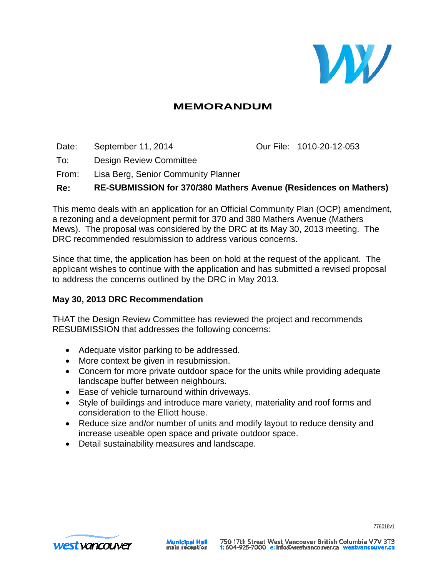

# **MEMORANDUM**

Date: September 11, 2014 Our File: 1010-20-12-053 To: Design Review Committee From: Lisa Berg, Senior Community Planner **Re: RE-SUBMISSION for 370/380 Mathers Avenue (Residences on Mathers)**

This memo deals with an application for an Official Community Plan (OCP) amendment, a rezoning and a development permit for 370 and 380 Mathers Avenue (Mathers Mews). The proposal was considered by the DRC at its May 30, 2013 meeting. The DRC recommended resubmission to address various concerns.

Since that time, the application has been on hold at the request of the applicant. The applicant wishes to continue with the application and has submitted a revised proposal to address the concerns outlined by the DRC in May 2013.

#### **May 30, 2013 DRC Recommendation**

THAT the Design Review Committee has reviewed the project and recommends RESUBMISSION that addresses the following concerns:

- Adequate visitor parking to be addressed.
- More context be given in resubmission.
- Concern for more private outdoor space for the units while providing adequate landscape buffer between neighbours.
- Ease of vehicle turnaround within driveways.
- Style of buildings and introduce mare variety, materiality and roof forms and consideration to the Elliott house.
- Reduce size and/or number of units and modify layout to reduce density and increase useable open space and private outdoor space.
- Detail sustainability measures and landscape.

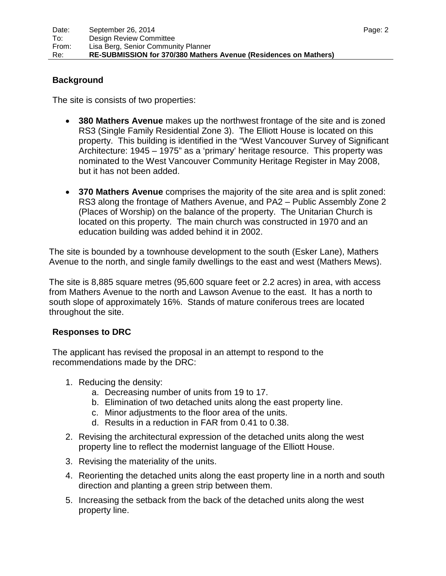### **Background**

The site is consists of two properties:

- **380 Mathers Avenue** makes up the northwest frontage of the site and is zoned RS3 (Single Family Residential Zone 3). The Elliott House is located on this property. This building is identified in the "West Vancouver Survey of Significant Architecture: 1945 – 1975" as a 'primary' heritage resource. This property was nominated to the West Vancouver Community Heritage Register in May 2008, but it has not been added.
- **370 Mathers Avenue** comprises the majority of the site area and is split zoned: RS3 along the frontage of Mathers Avenue, and PA2 – Public Assembly Zone 2 (Places of Worship) on the balance of the property. The Unitarian Church is located on this property. The main church was constructed in 1970 and an education building was added behind it in 2002.

The site is bounded by a townhouse development to the south (Esker Lane), Mathers Avenue to the north, and single family dwellings to the east and west (Mathers Mews).

The site is 8,885 square metres (95,600 square feet or 2.2 acres) in area, with access from Mathers Avenue to the north and Lawson Avenue to the east. It has a north to south slope of approximately 16%. Stands of mature coniferous trees are located throughout the site.

#### **Responses to DRC**

The applicant has revised the proposal in an attempt to respond to the recommendations made by the DRC:

- 1. Reducing the density:
	- a. Decreasing number of units from 19 to 17.
	- b. Elimination of two detached units along the east property line.
	- c. Minor adjustments to the floor area of the units.
	- d. Results in a reduction in FAR from 0.41 to 0.38.
- 2. Revising the architectural expression of the detached units along the west property line to reflect the modernist language of the Elliott House.
- 3. Revising the materiality of the units.
- 4. Reorienting the detached units along the east property line in a north and south direction and planting a green strip between them.
- 5. Increasing the setback from the back of the detached units along the west property line.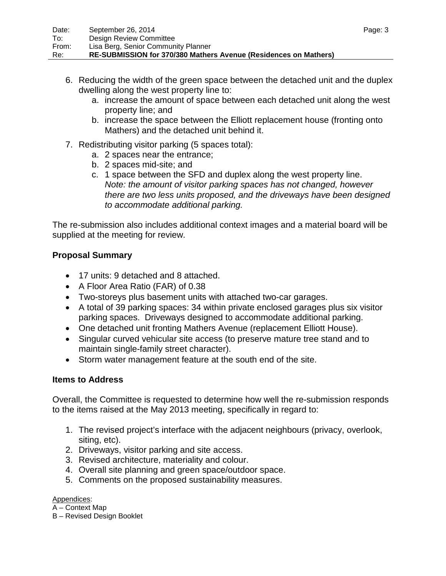- 6. Reducing the width of the green space between the detached unit and the duplex dwelling along the west property line to:
	- a. increase the amount of space between each detached unit along the west property line; and
	- b. increase the space between the Elliott replacement house (fronting onto Mathers) and the detached unit behind it.
- 7. Redistributing visitor parking (5 spaces total):
	- a. 2 spaces near the entrance;
	- b. 2 spaces mid-site; and
	- c. 1 space between the SFD and duplex along the west property line. *Note: the amount of visitor parking spaces has not changed, however there are two less units proposed, and the driveways have been designed to accommodate additional parking.*

The re-submission also includes additional context images and a material board will be supplied at the meeting for review.

# **Proposal Summary**

- 17 units: 9 detached and 8 attached.
- A Floor Area Ratio (FAR) of 0.38
- Two-storeys plus basement units with attached two-car garages.
- A total of 39 parking spaces: 34 within private enclosed garages plus six visitor parking spaces. Driveways designed to accommodate additional parking.
- One detached unit fronting Mathers Avenue (replacement Elliott House).
- Singular curved vehicular site access (to preserve mature tree stand and to maintain single-family street character).
- Storm water management feature at the south end of the site.

# **Items to Address**

Overall, the Committee is requested to determine how well the re-submission responds to the items raised at the May 2013 meeting, specifically in regard to:

- 1. The revised project's interface with the adjacent neighbours (privacy, overlook, siting, etc).
- 2. Driveways, visitor parking and site access.
- 3. Revised architecture, materiality and colour.
- 4. Overall site planning and green space/outdoor space.
- 5. Comments on the proposed sustainability measures.

#### Appendices:

A – Context Map

B – Revised Design Booklet